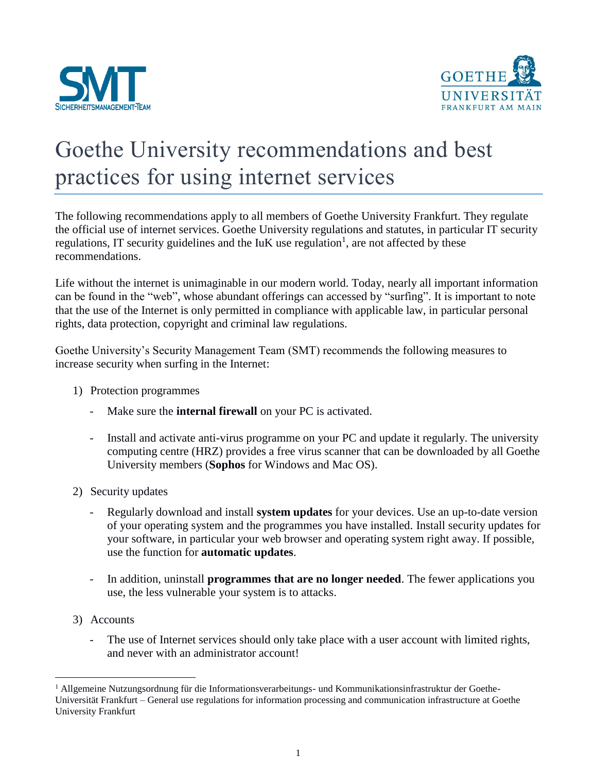



## Goethe University recommendations and best practices for using internet services

The following recommendations apply to all members of Goethe University Frankfurt. They regulate the official use of internet services. Goethe University regulations and statutes, in particular IT security regulations, IT security guidelines and the  $I uK$  use regulation<sup>1</sup>, are not affected by these recommendations.

Life without the internet is unimaginable in our modern world. Today, nearly all important information can be found in the "web", whose abundant offerings can accessed by "surfing". It is important to note that the use of the Internet is only permitted in compliance with applicable law, in particular personal rights, data protection, copyright and criminal law regulations.

Goethe University's Security Management Team (SMT) recommends the following measures to increase security when surfing in the Internet:

- 1) Protection programmes
	- Make sure the **internal firewall** on your PC is activated.
	- Install and activate anti-virus programme on your PC and update it regularly. The university computing centre (HRZ) provides a free virus scanner that can be downloaded by all Goethe University members (**Sophos** for Windows and Mac OS).
- 2) Security updates
	- Regularly download and install **system updates** for your devices. Use an up-to-date version of your operating system and the programmes you have installed. Install security updates for your software, in particular your web browser and operating system right away. If possible, use the function for **automatic updates**.
	- In addition, uninstall **programmes that are no longer needed**. The fewer applications you use, the less vulnerable your system is to attacks.
- 3) Accounts

 $\overline{a}$ 

- The use of Internet services should only take place with a user account with limited rights, and never with an administrator account!

<sup>1</sup> Allgemeine Nutzungsordnung für die Informationsverarbeitungs- und Kommunikationsinfrastruktur der Goethe-Universität Frankfurt – General use regulations for information processing and communication infrastructure at Goethe University Frankfurt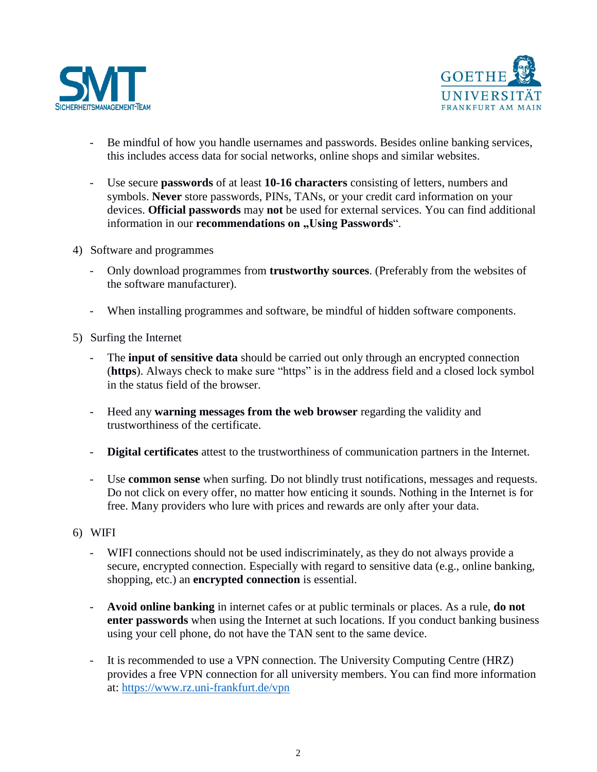



- Be mindful of how you handle usernames and passwords. Besides online banking services, this includes access data for social networks, online shops and similar websites.
- Use secure **passwords** of at least **10-16 characters** consisting of letters, numbers and symbols. **Never** store passwords, PINs, TANs, or your credit card information on your devices. **Official passwords** may **not** be used for external services. You can find additional information in our **recommendations** on "Using Passwords".
- 4) Software and programmes
	- Only download programmes from **trustworthy sources**. (Preferably from the websites of the software manufacturer).
	- When installing programmes and software, be mindful of hidden software components.
- 5) Surfing the Internet
	- The **input of sensitive data** should be carried out only through an encrypted connection (**https**). Always check to make sure "https" is in the address field and a closed lock symbol in the status field of the browser.
	- Heed any **warning messages from the web browser** regarding the validity and trustworthiness of the certificate.
	- **Digital certificates** attest to the trustworthiness of communication partners in the Internet.
	- Use **common sense** when surfing. Do not blindly trust notifications, messages and requests. Do not click on every offer, no matter how enticing it sounds. Nothing in the Internet is for free. Many providers who lure with prices and rewards are only after your data.
- 6) WIFI
	- WIFI connections should not be used indiscriminately, as they do not always provide a secure, encrypted connection. Especially with regard to sensitive data (e.g., online banking, shopping, etc.) an **encrypted connection** is essential.
	- **Avoid online banking** in internet cafes or at public terminals or places. As a rule, **do not enter passwords** when using the Internet at such locations. If you conduct banking business using your cell phone, do not have the TAN sent to the same device.
	- It is recommended to use a VPN connection. The University Computing Centre (HRZ) provides a free VPN connection for all university members. You can find more information at:<https://www.rz.uni-frankfurt.de/vpn>